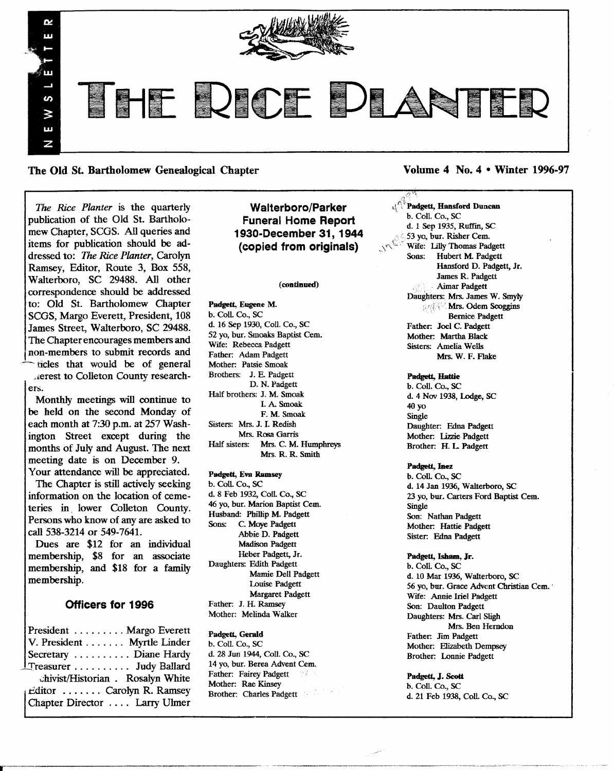

The Old St. Bartholomew Genealogical Chapter Volume 4 No. 4 • Winter 1996-97

*The Rice Planter* is the quarterly publication of the Old St. Bartholomew Chapter, SCGS. All queries and items for publication should be addressed to: *The Rice Planter,* Carolyn Ramsey, Editor, Route 3, Box 558, Walterboro, SC 29488. All other correspondence should be addressed to: Old St. Bartholomew Chapter SCGS, Margo Everett, President, 108 James Street, Walterboro, SC 29488. The Chapter encourages members and non-members to submit records and -ticles that would be of general ".:erest to Colleton County research-

ers.

Monthly meetings will continue to be held on the second Monday of each month at 7:30 p.m. at 257 Washington Street except during the months of July and August. The next meeting date is on December 9. Your attendance will be appreciated.

The Chapter is still actively seeking information on the location of cemeteries in. lower Colleton County. Persons who know of any are asked to call 538-3214 or 549-7641.

Dues are \$12 for an individual membership, \$8 for an associate membership, and \$18 for a family membership.

# Officers for 1996

President  $\dots \dots$  Margo Everett V. President . . . . . . . Myrtle Linder Secretary . . . . . . . . . . Diane Hardy \_Treasurer . . . . . . . . .. Judy Ballard chivist/Historian . Rosalyn White<br>Editor ....... Carolyn R. Ramsey Chapter Director . . . . Larry Ulmer

Walterboro/Parker Funeral Home Report 1930-December 31, 1944 (copied from originals)

#### (continued)

Padgett, Eugene M. b. Coli. Co., SC d. 16 Sep 1930, Coli. Co., SC 52 yo, bur. Smoaks Baptist Cern. Wife: Rebecca Padgett Father: Adam Padgett Mother: Patsie Smoak Brothers: J. E. Padgett D. N. Padgett Half brothers: J. M. Smoak I. A Smoak F. M. Smoak Sisters: Mrs. J. I. Redish Mrs. Rosa Garris Half sisters: Mrs. C. M. Humphreys Mrs. R. R. Smith

# Padgett, Eva Ramsey

b. Coli. Co., SC d. 8 Feb 1932, Coli. Co., SC 46 yo, bur. Marion Baptist Cern. Husband: Phillip M. Padgett C. Moye Padgett Abbie D. Padgett Madison Padgett Heber Padgett, Jr. Daughters: Edith Padgett Mamie Dell Padgett Louise Padgett Margaret Padgett Father: J. H. Ramsey Mother: Melinda Walker

Padgett, Gerald b. Coli. Co., SC d. 28 Jun 1944, Coli. Co., SC 14 yo, bur. Berea Advent Cern. Father: Fairey Padgett Mother: Rae Kinsey Brother: Charles Padgett

 $\mathbf{c}_1^{(1)}$  Padgett, Hansford Duncan b. Coli. Co., SC d. 1 Sep 1935, Ruffin, SC 53 yo, bur. Risher Cem. Wife: IiIly Thomas Padgett Sons: Hubert M. Padgett Hansford D. Padgett, Jr. James R. Padgett , ...•.. ,Aimar Padgett Daughters: Mrs. James W. Smyly **Mrs. Odem Scoggins** Bernice Padgett Father: Joel C. Padgett Mother: Martha Black Sisters: Amelia Wells Mrs. W. F. Flake

# Padgett, Hattie

 $\sigma$  ,

b. Coli. Co., SC d. 4 Nov 1938, Lodge, SC 40 yo Single Daughter: Edna Padgett Mother: lizzie Padgett Brother: H. L. Padgett

Padgett, Inez

b. CoIL Co., SC d. 14 Jan 1936, Walterboro, SC 23 yo, bur. Carters Ford Baptist Cern. Single Son: Nathan Padgett Mother: Hattie Padgett Sister: Edna Padgett

#### Padgett, Isham, Jr.

b. Coll. Co., SC d. 10 Mar 1936, Walterboro, SC 56 yo, bur. Grace Advent Christian Cem. Wife: Annie Iriel Padgett Son: Daulton Padgett Daughters: Mrs. Carl Sligh Mrs. Ben Herndon Father: Jim Padgett Mother: Elizabeth Dempsey Brother: Lonnie Padgett

Padgett, J. Scott b. Coll. Co., SC d. 21 Feb 1938, CoIL Co., SC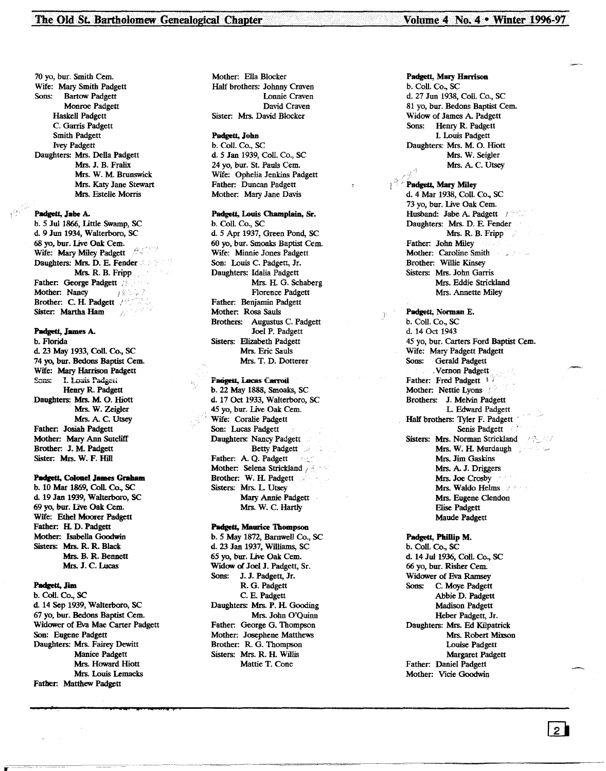70 yo, bur. Smith Cern. Wife: Mary Smith Padgett Sons: Bartow Padgett Monroe Padgett Haskell Padgett C. Garris Padgett Smith Padgett Ivey Padgett Daughters: Mrs. Della Padgett Mrs. J. B. Fralix Mrs. W. M. Brunswick Mrs. Katy Jane Stewart Mrs. Fstelle Morris

Padgett, Jabe A.

b. 5 Jul 1866, little Swamp, SC d. 9 Jun 1934, Walterboro, SC 68 yo, bur. Live Oak Cem. Wife: Mary Miley Padgett Daughters: Mrs. D. E. Fender Mrs. R. B. Fripp Father: George Padgett Mother: Nancy **ISS** Brother: C. H. Padgett / Sister: Martha Ham

# Padgett, James A.

b. Florida d. 23 May 1933, Coil. Co., SC 74 yo, bur. Bedons Baptist Cern. Wife: Mary Harrison Padgett Sons: I. Louis Padgett Henry R. Padgett Daughters: Mrs. M. O. Hiott Mrs. W. Zeigler Mrs. A. C. Utsey Father: Josiah Padgett Mother: Mary Ann Sutcliff Brother: J. M. Padgett Sister: Mrs. W. F. Hill

#### Padgett, Colonel James Graham

b. 10 Mar 1869, Coil. Co., SC d. 19 Jan 1939, Walterboro, SC 69 yo, bur. Live Oak Cern. Wife: Ethel Moorer Padgett Father: H. D. Padgett Mother: Isabella Goodwin Sisters: Mrs. R. R. Black Mrs. B. R. Bennett Mrs. J. C. Lucas

#### Padgett, Jim

b. ColI. Co., SC d. 14 Sep 1939, Walterboro, SC 67 yo, bur. Bedons Baptist Cern. Widower of Eva Mae Carter Padgett Son: Eugene Padgett Daughters: Mrs. Fairey Dewitt Manice Padgett Mrs. Howard Hiott Mrs. Louis Lemacks Father: Matthew Padgett

,, :q \* <sup>4</sup> *1.4');* T' I

Mother: Ella Blocker Half brothers: Johnny Craven Lonnie Craven David Craven Sister: Mrs. David Blocker

# Padgett, John

b. Coil. Co., SC d. 5 Jan 1939, Coli. Co., SC 24 yo, bur. St. Pauls Cern. Wife: Ophelia Jenkins Padgett Father: Duncan Padgett Mother: Mary Jane Davis

# Padgett, Louis Champlain, Sr.

b. Coli. Co., SC d. 5 Apr 1937, Green Pond, SC 60 yo, bur. Smoaks Baptist Cern. Wife: Minnie Jones Padgett Son: Louis C. Padgett, Jr. Daughters: Idalia Padgett Mrs. IL G. Schaberg Florence Padgett Father: Benjamin Padgett Mother: Rosa Sauls Brothers: Augustus C. Padgett Joel P. Padgett Sisters: Elizabeth Padgett Mrs. Eric Sauls Mrs. T. D. Dotterer

# Fadgett, Lucas Carroll

b. 22 May 1888, Smoaks, SC d. 17 Oct 1933, Walterboro, SC 45 yo, bur. Live Oak Cem. Wife: Coralie Padgett Son: Lucas Padgett Daughters: Nancy Padgett Betty Padgett Father: A. Q. Padgett **•••** Mother: Selena Strickland Brother: W. H. Padgett Sisters: Mrs. L Utsey Mary Annie Padgett Mrs. W. C. Hartly

#### Padgett, Maurice Thompson

b. 5 May 1872, Barnwell Co., SC d. 23 Jan 1937, Williams, SC 65 yo, bur. live Oak Cern. Widow of Joel J. Padgett, Sr. Sons: J. J. Padgett, Jr. R. G. Padgett C. E. Padgett Daughters: Mrs. P. H. Gooding Mrs. John O'Quinn Father: George G. Thompson Mother: Josephene Matthews Brother: R. G. Thompson Sisters: Mrs. R. H. Willis Mattie T. Cone

#### Padgett, Mary Harrison b. Coil. Co., SC

d. 27 Jun 1938, Coli. Co., SC 81 yo, bur. Bedons Baptist Cern. Widow of James A. Padgett Sons: Henry R. Padgett I. Louis Padgett Daughters: Mrs. M. O. Hiott Mrs. W. Seigler Mrs. A. C. Utsey

<sup>2</sup> Padgett, Mary Miley d. 4 Mar 1938, Coli. Co., SC 73 yo, bur. live Oak Cern. Husband: Jabe A. Padgett / Daughters: Mrs. D. E. Fender Mrs. R. B. Fripp Father: John Miley Mother: Caroline Smith Brother: Willie Kinsey Sisters: Mrs. John Garris Mrs. Eddie Strickland Mrs. Annette Miley

Padgett, Norman E. b. ColI. Co., SC d. 14 Oct 1943 45 yo, bur. Carters Ford Baptist Cem. Wife: Mary Padgett Padgett Sons: Gerald Padgett .Vernon Padgett Father: Fred Padgett 17 Mother: Nettie Lyons Brothers: J. Melvin Padgett L Edward Padgett Half brothers: Tyler F. Padgett ' Senis Padgett Sisters: Mrs. Norman Strickland Mrs. W. H. Murdaugh (1988) the Mrs. Jim Gaskins Mrs. A. J. Driggers Mrs. Joe Crosby Mrs. Waldo Helms Mrs. Eugene Clendon Elise Padgett Maude Padgett

Padgett, Phillip M. b. Coli. Co., SC d. 14 Jul 1936, Coll. Co., SC 66 yo, bur. Risher Cem. Widower of Eva Ramsey Sons: C. Moye Padgett Abbie D. Padgett Madison Padgett Heber Padgett, Jr. Daughters: Mrs. Ed Kilpatrick Mrs. Robert Mixson Louise Padgett Margaret Padgett Father: Daniel Padgett Mother: Vicie Goodwin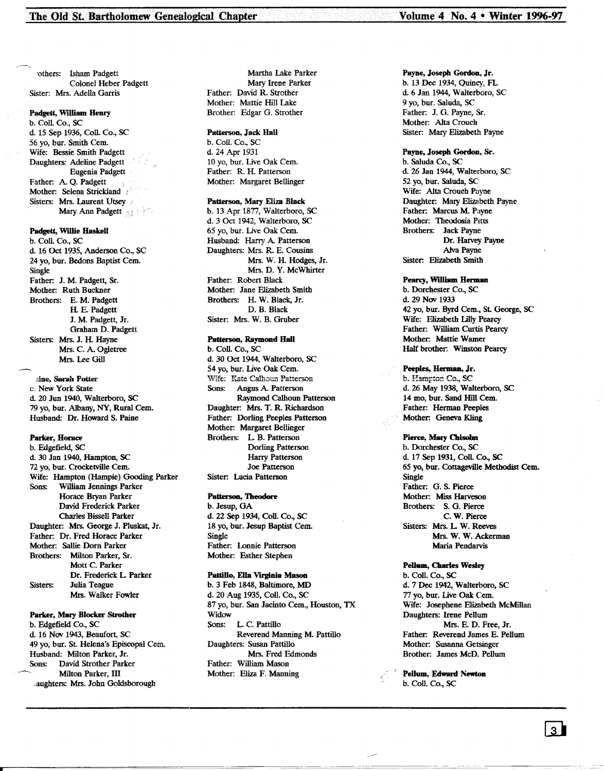'others: Isham Padgett Colonel Heber Padgett Sister: Mrs. Adella Garris

# Padgett, William Henry

b. Coll. Co., SC d. 15 Sep 1936, Coll. Co., SC 56 yo, bur. Smith Cern. Wife: Bessie Smith Padgett Daughters: Adeline Padgett Eugenia Padgett Father: A. Q. Padgett Mother: Selena Strickland Sisters: Mrs. Laurent Utsey Mary Ann Padgett

# Padgett, Willie Haskell

b. Coll. Co., SC d. 16 Oct 1935, Anderson Co., SC 24 vo. bur. Bedons Baptist Cem. Single Father: J. M. Padgett, Sr. Mother: Ruth Buckner Brothers: E. M. Padgett H. E. Padgett J. M. Padgett, Jr. Graham D. Padgett Sisters: Mrs. J. H. Hayne Mrs. C. A. Ogletree Mrs. Lee Gill

:.me,.Sarah Potter v. New York State d 20 Jun 1940, Walterboro, SC 79 yo, bur. Albany, NY, Rural Cem. Husband: Dr. Howard S. Paine

# Parker, Horace

| b. Edgefield, SC                      |
|---------------------------------------|
| d. 30 Jan 1940, Hampton, SC           |
| 72 yo, bur. Crocketville Cem.         |
| Wife: Hampton (Hampie) Gooding Parker |
| William Jennings Parker<br>Sons:      |
| Horace Bryan Parker                   |
| David Frederick Parker                |
| Charles Bissell Parker                |
| Daughter: Mrs. George J. Pluskat, Jr. |
| Father: Dr. Fred Horace Parker        |
| Mother: Sallie Dorn Parker            |
| Brothers: Milton Parker, Sr.          |
| Mott C. Parker                        |
| Dr. Frederick L. Parker               |
| Julia Teague<br>Sisters:              |
| Mrs. Walker Fowler                    |

#### Parker, Mary Blocker Strother

b. Edgefield Co., SC d. 16 Nov 1943, Beaufort, SC 49 yo, bur. St. Helena's Episcopal Cem. Husband: Milton Parker, Jr. Sons: David Strother Parker Milton Parker, III .aughters: Mrs. John Goldsborough

Martha Lake Parker Mary Irene Parker Father: David R. Strother Mother: Mattie Hill Lake Brother: Edgar G. Strother

# Patterson, lack Hall

b. Coll. Co., SC d. 24 Apr 1931 10 yo, bur. Live Oak Cem. Father: R. H. Patterson Mother: Margaret Bellinger

# Patterson, Mary Eliza Black

b. 13 Apr 1877, Walterboro, SC d. 3 Oct 1942, Walterboro, SC 65 yo, bur. live Oak Cern. Husband: Harry A. Patterson Daughters: Mrs. R. E. Cousins Mrs. W. H. Hodges, Jr. Mrs. D. Y. McWhirter Father: Robert Black Mother: Jane Elizabeth Smith Brothers: H. W. Black, Jr. D. B. Black Sister: Mrs. W. B. Gruber

# Patterson, Raymond Hall

b. Coll. Co., SC d. 30 Oct 1944, Walterboro, SC 54 yo, bur. live Oak Cern. Wife: Kate Calhoun Patterson Sons: Angus A. Patterson Raymond Calhoun Patterson Daughter: Mrs. T. R. Richardson Father: Dorling Peeples Patterson Mother: Margaret Bellinger Brothers: L B. Patterson Dorling Patterson Harry Patterson Joe Patterson Sister: Lucia Patterson

#### Patterson, Theodore

b.Jesup, GA d. 22 Sep 1934, Coll. Co., SC 18 yo, bur. Jesup Baptist Cem. Single Father: Lonnie Patterson Mother: Esther Stephen

# Pattillo, Ella Virginia Mason

b. 3 Feb 1848, Baltimore, MD d. 20 Aug 1935, Coll. Co., SC 87 yo, bur. San Jacinto Cern., Houston, TX Widow Sons: L C. Pattillo Reverend Manning M. Pattillo Daughters: Susan Pattillo Mrs. Fred Edmonds Father: William Mason Mother: Eliza F. Manning

# Payne, Joseph Gordon, Jr. b. 13 Dec 1934, Quincy, FL d. 6 Jan 1944, Walterboro, SC 9 yo, bur. Saluda, SC Father: J. G. Payne, Sr. Mother: Alta Crouch Sister: Mary Elizabeth Payne

# Payne, Joseph Gordon, Sr. b. Saluda Co., SC d. 26 Jan 1944, Walterboro, SC 52 yo, bur. Saluda, SC Wife: Alta Crouch Payne Daughter: Mary Elizabeth Payne Father: Marcus M. Payne Mother: Theodosia Pitts Brothers: Jack Payne Dr. Harvey Payne Alva Payne

# Pearcy, Walliam Herman

Sister: Elizabeth Smith

b. Dorchester Co., SC d. 29 Nov 1933 42 yo, bur. Byrd Cem., St. George, SC Wife: Elizabeth Lilly Pearcy Father: William Curtis Pearcy Mother: Mattie Wamer Half brother: Winston Pearcy

# Peeples, Herman, Jr.

b. Hampton Co., SC d. 26 May 1938, Walterboro, SC 14 mo, bur. Sand Hill Cem. Father: Herman Peeples Mother: Geneva Kling

# Pierce, Mary Chisolm

b. Dorchester Co., SC d. 17 Sep 1931, Coll. Co., SC 65 yo, bur. Cottageville Methodist Cern. Single Father: G. S. Pierce Mother: Miss Harveson Brothers: S. G. Pierce C. W. Pierce Sisters: Mrs. L W. Reeves Mrs. W. W. Ackerman Maria Pendarvis

# Pellum, Charles Wesley

b. Coll. Co., SC d. 7 Dee 1942, Walterboro, SC 77 yo, bur. live Oak Cern. Wife: Josephene Elizabeth McMillan Daughters: Irene Pellum Mrs. E. D. Free, Jr. Father: Reverend James E. Pellum Mother: Susanna Getsinger Brother: James McD. Pellum

Pellum, Edward Newton b. Coll. Co., SC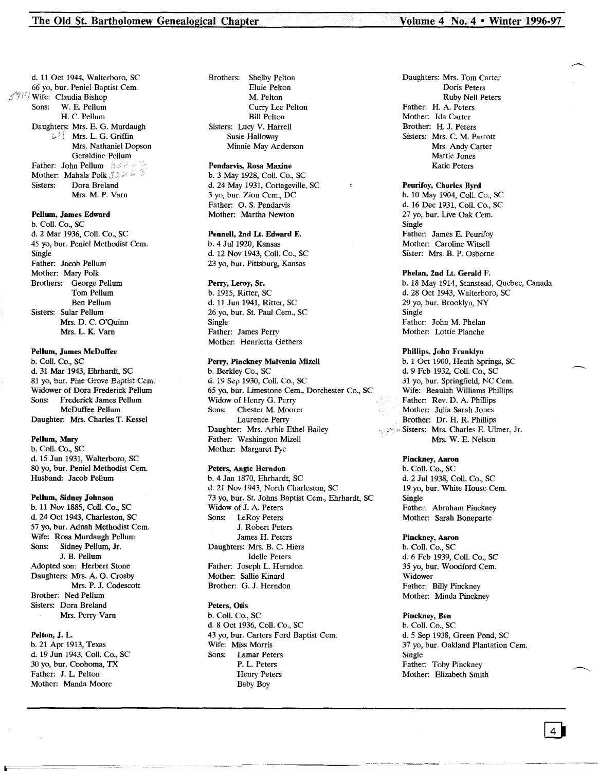d. 11 Oct 1944, Walterboro, SC 66 yo, bur. Peniel Baptist Cern. Wife: Claudia Bishop Sons: W. E. Pellum H. C. Pellum Daughters: Mrs. E. G. Murdaugh ; Mrs. L. G. Griffin Mrs. Nathaniel Dopson Geraldine Pellum Father: John Pellum 3564 Mother: Mahala Polk 3586 Sisters: Dora Breland Mrs. M. P. Yarn

#### Pellum, James Edward

b. CoIl. Co., SC d. 2 Mar 1936, ColI. Co., SC 45 yo, bur. Peniel Methodist Cem. Single Father: Jacob Pellum Mother: Mary Polk Brothers: George Pellum Tom Pellum Ben Pellum Sisters: Sular Pellum Mrs. D. C. O'Quinn Mrs. L. K. Yarn

### Pellum, James McDuffee

b. Coll. Co., SC d. 31 Mar 1943, Ehrhardt, SC 81 yo, bur. Pine Grove-Baptist Cem. Widower of Dora Frederick Pellum Sons: Frederick James Pellum McDuffee Pellum Daughter: Mrs. Charles T. Kessel

### Pellum, Mary

b. ColI. Co., SC d. 15 Jun 1931, Walterboro, SC 80 vo, bur. Peniel Methodist Cem. Husband: Jacob Pellum

# Pellum, Sidney Johnson

b. 11 Nov 1885, Coll. Co., SC d. 24 Oct 1943, Charleston, SC 57 yo, bur. Adnah Methodist Cern. Wife: Rosa Murdaugh Pellum Sons: Sidney Pellum, Jr. J. B. Pellum Adopted son: Herbert Stone Daughters: Mrs. A. Q. Crosby Mrs. P. J. Codescott Brother: Ned Pellum Sisters: Dora Breland Mrs. Perry Yarn

# Pelton, J. L.

b. 21 Apr 1913, Texas d. 19 Jun 1943, Coli. Co., SC 30 yo, bur. Coohoma, TX Father: J. L. Pelton Mother: Manda Moore

Brothers: Shelby Pelton Eluie Pelton M. Pelton Curry Lee Pelton Bill Pelton Sisters: Lucy V. Harrell Susie Halloway Minnie May Anderson

# Pendarvis, Rosa Maxine

b. 3 May 1928, ColI. Co., SC d. 24 May 1931, Cottageville, SC 3 yo, bur. Zion Cern., DC Father: O. S. Pendarvis Mother: Martha Newton

# Pennell, 2nd Lt. Edward E.

b. 4 Jul 1920, Kansas d. 12 Nov 1943, CoIl. Co., SC 23 yo, bur. Pittsburg, Kansas

# Perry, Leroy, Sr.

b. 1915, Ritter, SC d. 11 Jun 1941, Ritter, SC 26 yo, bur. St. Paul Cem., SC Single Father: James Perry Mother: Henrietta Gethers

#### Perry, Pinckney Malvenia Mizell

b. Berkley Co., SC d. 19 Sep 1930, Coil. Co., SC 65 yo, bur. limestone Cern., Dorchester Co., SC Widow of Henry G. Perry Sons: Chester M. Moorer Laurence Perry Daughter: Mrs. AThie Ethel Bailey Father: Washington Mizell Mother: Margaret Pye

#### Peters, Angie Herndon

b. 4 Jan 1870, Ehrhardt, SC d. 21 Nov 1943, North Charleston, SC 73 yo, bur. St. Johns Baptist Cern., Ehrhardt, SC Widow of J. A. Peters Sons: LeRoy Peters J. Robert Peters James H. Peters Daughters: Mrs. B. C. Hiers Idelle Peters Father: Joseph L. Herndon Mother: Sallie Kinard Brother: G. J. Herndon

# Peters, Otis

b. Coli. Co., SC d. 8 Oct 1936, ColI. Co., SC 43 yo, bur. Carters Ford Baptist Cem. Wife: Miss Morris Sons: Lamar Peters P. L. Peters Henry Peters Baby Boy

-~~======\_. -----~~~--

Daughters: Mrs. Tom Carter Doris Peters Ruby Nell Peters Father: H. A. Peters Mother: Ida Carter Brother: H. J. Peters Sisters: Mrs. C. M. Parrott Mrs. Andy Carter Mattie Jones Katie Peters

# Peurifoy, Charles Byrd

b. 10 May 1904, ColI. Co., SC d. 16 Dec 1931, Coli. Co., SC 27 yo, bur. Live Oak Cem. Single Father: James E. Peurifoy Mother: Caroline Witsell Sister: Mrs. B. P. Osborne

#### Phelan, 2nd Lt. Gerald F.

b. 18 May 1914, Stanstead, Quebec, Canada d. 28 Oct 1943, Walterboro, SC 29 yo, bur. Brooklyn, NY Single Father: John M. Phelan Mother: Lottie Planche

# Phillips, John Franklyn

b. 1 Oct 1900, Heath Springs, SC d. 9 Feb 1932, ColI. Co., SC 31 yo, bur. Springfield, NC Cem. Wife: Beaulah Williams Phillips Father: Rev. D. A. Phillips Mother: Julia Sarah Jones Brother: Dr. H. R. Phillips Sisters: Mrs. Charles E. Ulmer, Jr. Mrs. W. E. Nelson

#### Pinckney, Aaron

b. Coli. Co., SC d. 2 Jul 1938, Coll. Co., SC 19 yo, bur. White House Cem. Single Father: Abraham Pinckney Mother: Sarah Boneparte

#### Pinckney, Aaron

b. CoIl. Co., SC d. 6 Feb 1939, ColI. Co., SC 35 yo, bur. Woodford Cern. Widower Father: Billy Pinckney Mother: Minda Pinckney

#### Pinckney, Ben

b. ColI. Co., SC d. 5 Sep 1938, Green Pond, SC 37 yo, bur. Oakland Plantation Cem. Single Father: Toby Pinckney Mother: Elizabeth Smith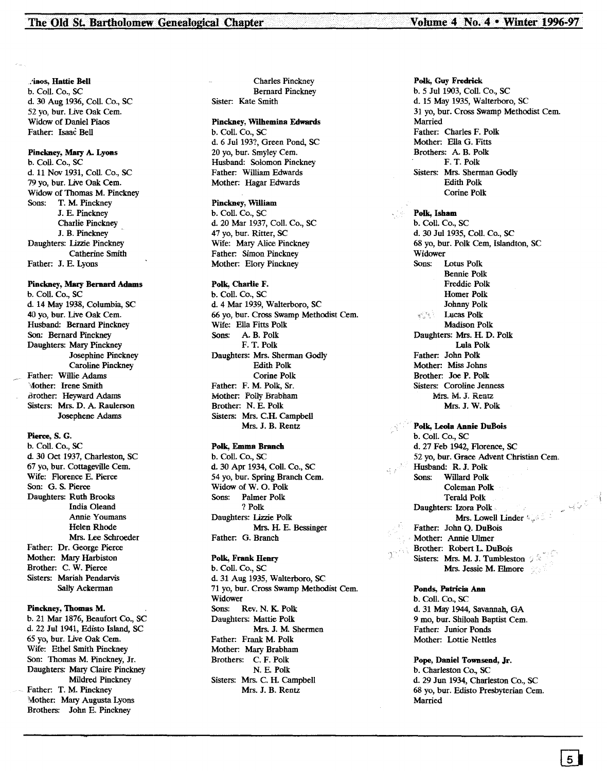:,iaos, Hattie Bell b. Coil. Co., SC d. 30 Aug 1936, Coil. Co., SC 52 yo, bur. Live Oak Cern. Widow of Daniel Piaos Father: Isaac Bell

# Pinckney, Mary A. Lyons

b. Coil. Co., SC d. 11 Nov 1931, Coil. Co., SC 79 yo, bur. Live Oak Cern. Widow of Thomas M. Pinckney Sons: T. M. Pinckney J. E. Pinckney Charlie Pinckney J. B. Pinckney Daughters: Lizzie Pinckney Catherine Smith Father: J. E. Lyons

# Pinckney, Mary Bernard Adams

b. Coil. Co., SC d. 14 May 1938, Columbia, SC 40 yo, bur. Live Oak Cern. Husband: Bernard Pinckney Son: Bernard Pinckney Daughters: Mary Pinckney Josephine Pinckney Caroline Pinckney Father: Willie Adams \,fother: Irene Smith .Brother: Heyward Adarns Sisters: Mrs. D. A. Raulerson Josephene Adams

# Piene, S. G.

b. Coil. Co., SC d. 30 Oct 1937, Charleston, SC 67 yo, bur. Cottageville Cern. Wife: Florence E. Pierce Son: G. S. Pierce Daughters: Ruth Brooks India Oleand Annie Youmans Helen Rhode Mrs. Lee Schroeder Father: Dr. George Pierce Mother: Mary Harbiston Brother: C. W. Pierce Sisters: Mariah Pendarvis Sally Ackerman

# Pinckney, Thomas M.

b. 21 Mar 1876, Beaufort Co., SC d. 22 Jul 1941, Edisto Island, SC 65 yo, bur. live Oak Cern. Wife: Ethel Smith Pinckney Son: Thomas M. Pinckney, Jr. Daughters: Mary Claire Pinckney Mildred Pinckney Father: T. M. Pinckney Mother: Mary Augusta Lyons Brothers: John E. Pinckney

Charles Pinckney Bernard Pinckney Sister: Kate Smith

# Pinckney, Wilhemina Edwards

b. Coil. Co., SC d. 6 Jul 193?, Green Pond, SC 20 yo, bur. Srnyley Cern. Husband: Solomon Pinckney Father: William Edwards Mother: Hagar Edwards

# Pinckney, William

b. Coll. Co., SC d. 20 Mar 1937, Coil. Co., SC 47 yo, bur. Ritter, SC Wife: Mary Alice Pinckney Father: Simon Pinckney Mother: Elory Pinckney

# Polk, Charlie F.

b. Coil. Co., SC d. 4 Mar 1939, Walterboro, SC 66 yo, bur. Cross Swamp Methodist Cern. Wife: Ella Fitts Polk Sons: A B. Polk F. T. Polk Daughters: Mrs. Sherman Godly Edith Polk Corine Polk Father: F. M. Polk, Sr. Mother: Polly Brabham Brother: N. E. Polk Sisters: Mrs. C.H. Campbell Mrs. J. B. Rentz

# Polk, Emma Branch

b. Coli. Co., SC d. 30 Apr 1934, Coli. Co., SC 54 yo, bur. Spring Branch Cem. Widow of W. O. Polk Sons: Palmer Polk ? Polk Daughters: Lizzie Polk Mrs. H. E. Bessinger Father: G. Branch

# Polk, Frank Henry

b. Coil. Co., SC d. 31 Aug 1935, Walterboro, SC 71 yo, bur. Cross Swamp Methodist Cern. Widower Sons: Rev. N. K. Polk Daughters: Mattie Polk Mrs. J. M. Shermen Father: Frank M. Polk Mother: Mary Brabham Brothers: C. F. Polk N. E. Polk Sisters: Mrs. C. H. Campbell Mrs. J. B. Rentz

Polk, Guy Fredrick b. 5 Jul 1903, Coil. Co., SC d. 15 May 1935, Walterboro, SC 31 yo, bur. Cross Swamp Methodist Cern. Married Father: Charles F. Polk Mother: Ella G. Fitts Brothers: A B. Polk F. T. Polk Sisters: Mrs. Sherman Godly Edith Polk Corine Polk

# Polk, Isham

b. Coil. Co., SC d. 30 Jul 1935, Coil. Co., SC 68 yo, bur. Polk Cern, Islandton, SC Widower Sons: Lotus Polk Bennie Polk Freddie Polk Homer Polk Johnny Polk Lucas Polk Madison Polk Daughters: Mrs. H. D. Polk LuIa Polk Father: John Polk Mother: Miss Johns Brother: Joe P. Polk Sisters: Coroline Jenness Mrs. M. J. Rentz Mrs. J. W. Polk Polk, Leola Annie DuBois

b. Coli. Co., SC d. 27 Feb 1942, Florence, SC 52 yo, bur. Grace Advent Christian Cem. Husband: R. J. Polk Sons: Willard Polk Coleman Polk Terald Polk Daughters: Izora Polk  $\frac{Mrs.$  Lowell Linder  $\mathbb{E}_{\phi}$  of  $\phi \in \mathbb{R}$  and Q. DuBois Father: John Q. DuBois Mother: Annie Ulmer Brother: Robert L DuBois Sisters: Mrs. M. J. Tumbleston 2 Mrs. Jessie M. Elmore

Ponds, Patricia Ann b. Coil. Co., SC d. 31 May 1944, Savannah, GA 9 mo, bur. Shiloah Baptist Cem. Father: Junior Ponds Mother: Lottie Nettles

Pope, Daniel Townsend, Jr. b. Charleston Co., SC d. 29 Jun 1934, Charleston Co., SC 68 yo, bur. Edisto Presbyterian Cern. Married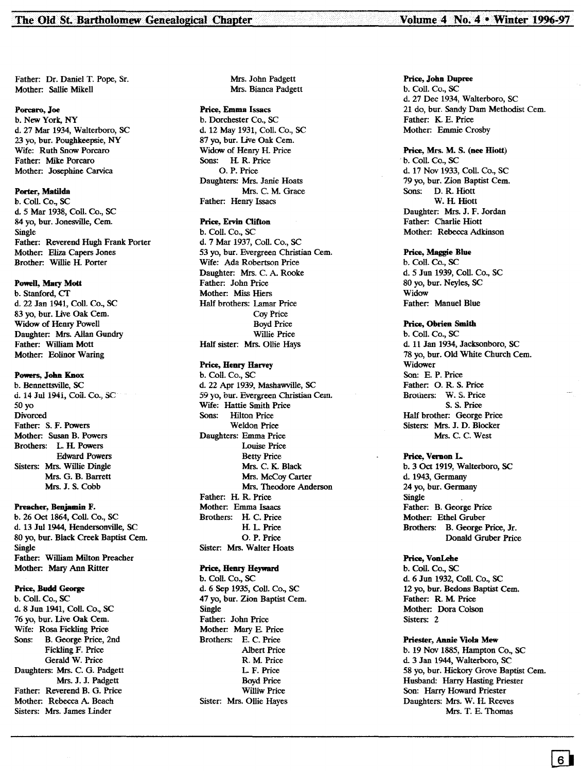Father: Dr. Daniel T. Pope, Sr. Mother: Sallie Mikell

#### Porcaro, Joe

b. New York, NY d. 27 Mar 1934, Walterboro, SC 23 yo, bur. Poughkeepsie, NY Wife: Ruth Snow Porcaro Father: Mike Porcaro Mother: Josephine Carvica

# Porter, Matilda

b. Coil. Co., SC d. 5 Mar 1938, CoIl. Co., SC 84 yo, bur. Jonesville, Cern. Single Father: Reverend Hugh Frank Porter Mother: Eliza Capers Jones Brother: Willie H. Porter

#### Powell, Mary Mott

b. Stanford, CT d. 22 Jan 1941, ColI. Co., SC 83 yo, bur. live Oak Cern. Widow of Henry Powell Daughter: Mrs. Allan Gundry Father: William Mott Mother: Eolinor Waring

# Powers, John Knox

b. Bennettsville, SC d. 14 JuJ 1941, Coil. Co., SC so yo Divorced Father: S. F. Powers Mother: Susan B. Powers Brothers: L. H. Powers Edward Powers Sisters: Mrs. Willie Dingle Mrs. G. B. Barrett Mrs. J. S. Cobb

# Preacher, Benjamin F.

b. 26 Oct 1864, Coil. Co., SC d. 13 Jut 1944, Hendersonville, SC 80 yo, bur. Black Creek Baptist Cern. Single Father: William Milton Preacher Mother: Mary Ann Ritter

#### Price, Budd George

b. Coil. Co., SC d. 8 Jun 1941, Coil. Co., SC 76 yo, bur. live Oak Cern. Wife: Rosa Fickling Price Sons: B. George Price, 2nd Fickling F. Price Gerald W. Price Daughters: Mrs. C. G. Padgett Mrs.J.J. Padgett Father: Reverend B. G. Price Mother: Rebecca A Beach Sisters: Mrs. James Linder

Mrs. John Padgett Mrs. Bianca Padgett

# Price, Emma Issacs

b. Dorchester Co., SC d. 12 May 1931, Coli. Co., SC 87 vo. bur. Live Oak Cem. Widow of Henry H. Price Sons: H. R. Price O. P. Price Daughters: Mrs. Janie Hoots Mrs. C. M. Grace Father: Henry Issacs

# Price, Ervin Clifton

b. Coll. Co., SC d. 7 Mar 1937, Coil. Co., SC 53 yo, bur. Evergreen Christian Cern. Wife: Ada Robertson Price Daughter: Mrs. C. A Rooke Father: John Price Mother: Miss Hiers Half brothers: Lamar Price Coy Price Boyd Price Willie Price Half sister: Mrs. Ollie Hays

# Price, Henry Harvey

b. Coil. Co., SC d. 22 Apr 1939, Mashawville, SC 59 yo, bur. Evergreen Christian Cem. Wife: Hattie Smith Price Sons: Hilton Price Weldon Price Daughters: Emma Price Louise Price Betty Price Mrs. C. K. Black Mrs. McCov Carter Mrs. Theodore Anderson Father: H. R. Price Mother: Emma Isaacs Brothers: H. C. Price H. L. Price O. P. Price Sister: Mrs. Walter Hoats

# Price, Henry Heyward

b. ColI. Co., SC d. 6 Sep 1935, Coil. Co., SC 47 yo, bur. Zion Baptist Cem. Single Father: John Price Mother: Mary E. Price Brothers: E. C. Price Albert Price R. M. Price L. F. Price Boyd Price Williw Price Sister: Mrs. Ollie Hayes

### Price, John Dupree

b. Coil. Co., SC d. 27 Dee 1934, Walterboro, SC 21 do, bur. Sandy Dam Methodist Cem. Father: K. E. Price Mother: Emmie Crosby

# Price, Mrs. M. S. (nee Hiott)

. b. CoIl. Co., SC d. 17 Nov 1933, Coil. Co., SC 79 yo, bur. Zion Baptist Cem. Sons: D. R. Hiott W. H. Hiott Daughter: Mrs. J. F. Jordan Father: Charlie Hiott Mother: Rebecca Adkinson

#### Price, Maggie Blue

b. Coil. Co., SC d. 5 Jun 1939, Coll. Co., SC 80 yo, bur. Neyles, SC Widow Father: Manuel Blue

# Price, Obrien Smith

b. Coil. Co., SC d. 11 Jan 1934, Jacksonboro, SC 78 yo, bur. Old White Church Cem. Widower Son: E. P. Price Father: O. R. S. Price Brothers: W. S. Price S. S. Price Half brother: George Price Sisters: Mrs. J. D. Blocker Mrs. C. C. West

#### Price, Vernon L.

b. 3 Oct 1919, Walterboro, SC d. 1943, Germany 24 yo, bur. Germany Single Father: B. George Price Mother: Ethel Gruber Brothers: B. George Price, Jr. Donald Gruber Price

#### Price, VonLebe

b. Coil. Co., SC d. 6 Jun 1932, Coll. Co., SC 12 yo, bur. Bedons Baptist Cern. Father: R. M. Price Mother: Dora Colson Sisters: 2

# Priester, Annie Viola Mew

b. 19 Nov 1885, Hampton Co., SC d. 3 Jan 1944, Walterboro, SC 58 yo, bur. Hickory Grove Baptist Cern. Husband: Harry Hasting Priester Son: Harry Howard Priester Daughters: Mrs. W. H. Reeves Mrs. T. E. Thomas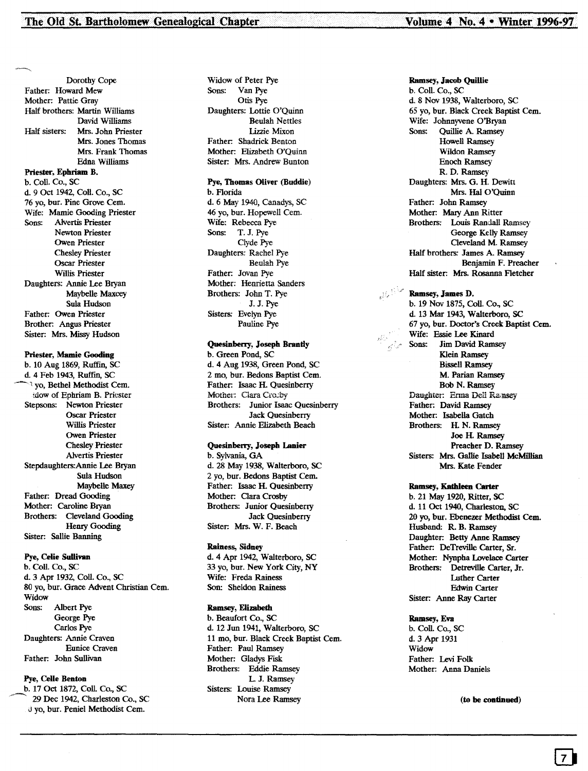Dorothy Cope Father: Howard Mew Mother: Pattie Gray Half brothers: Martin Williams David Williams Half sisters: Mrs. John Priester Mrs. Jones Thomas Mrs. Frank Thomas Edna Williams Priester, Ephriam B. b. Coil. Co., SC d. 9 Oct 1942, ColI. Co., SC 76 yo, bur. Pine Grove Cem. Wife: Mamie Gooding Priester<br>Sons: Alvertis Priester Alvertis Priester Newton Priester Owen Priester Chesley Priester Oscar Priester Willis Priester Daughters: Annie Lee Bryan Maybelle Maxcey Sula Hudson Father: Owen Priester Brother: Angus Priester Sister: Mrs. Missy Hudson

# Priester, Mamie Gooding

b. 10 Aug 1869, Ruffin, SC d. 4 Feb 1943, Ruffin, SC 't yo, Bethel Methodist Cem. idow of Ephriam B. Priester Stepsons: Newton Priester Oscar Priester Willis Priester Owen Priester Chesley Priester Alvertis Priester Stepdaughters:Annie Lee Bryan Sula Hudson Maybelle Maxey Father: Dread Gooding Mother: Caroline Bryan Brothers: Cleveland Gooding Henry Gooding Sister: Sallie Banning

# Pye, Celie Sullivan

b. Coll. Co., SC d. 3 Apr 1932, Coll. Co., SC 80 yo, bur. Grace Advent Christian cern. Widow Sons: Albert Pye George Pye Carlos Pye Daughters: Annie Craven Eunice Craven Father: John Sullivan

# Pye, Celie Benton

b. 17 Oct 1872, Coil. Co., SC 29 Dec 1942, Charleston Co., SC J yo, bur. Peniel Methodist cern.

Widow of Peter Pye Sons: Van Pye Otis Pye Daughters: Lottie O'Quinn Beulah Nettles Lizzie Mixon Father: Shadrick Benton Mother: Elizabeth O'Quinn Sister: Mrs. Andrew Bunton

# Pye, Thomas Oliver (Buddie)

b. Florida d. 6 May 1940, Canadys, SC 46 yo, bur. Hopewell Cem. Wife: Rebecca Pye Sons: T. J. Pye Clyde Pye Daughters: Rachel Pye Beulah Pye Father: Jovan Pye Mother: Henrietta Sanders Brothers: John T. Pye J.J. Pye Sisters: Evelyn Pye Pauline Pye

#### Quesinberry, Joseph Brantly

b. Green Pond, SC d. 4 Aug 1938, Green Pond, SC 2 mo, bur. Bedons Baptist Cem. Father: Isaac H. Quesinberry Mother: Clara Crocby Brothers: Junior Isaac Quesinberry Jack Quesinberry Sister: Annie Elizabeth Beach

## Quesinberry, Joseph Lanier

b. Sylvania, GA d. 28 May 1938, Walterboro, SC 2 yo, bur. Bedons Baptist Cern. Father: Isaac H. Quesinberry Mother: Clara Crosby Brothers: Junior Quesinberry Jack Quesinberry Sister: Mrs. W. F. Beach

# Rainess, Sidney

d. 4 Apr 1942, Walterboro, SC 33 yo, bur. New York City, NY Wife: Freda Rainess Son: Sheldon Rainess

# Ramsey, Elizabeth

b. Beaufort Co., SC d. 12 Jun 1941, Walterboro, SC 11 mo, bur. Black Creek Baptist cem. Father: Paul Ramsey Mother: Gladys Fisk Brothers: Eddie Ramsey LJ. Ramsey Sisters: Louise Ramsey Nora Lee Ramsey

Ramsey, Jacob Quillie b. Coil. Co., SC d. 8 Nov 1938, Walterboro, SC 65 yo, bur. Black Creek Baptist cem. Wife: Johnnyvene O'Bryan Sons: Quillie A. Ramsey Howell Ramsey Wildon Ramsey Enoch Ramsey R. D. Ramsey Daughters: Mrs. G. H. Dewitt Mrs. Hal O'Quinn Father: John Ramsey Mother: Mary Ann Ritter Brothers: Louis Randall Ramsey George Kelly Ramsey Cleveland M. Ramsey Half brothers: James A. Ramsey Benjamin F. Preacher Half sister: Mrs. Rosanna Fletcher

# Ramsey, James D.

b. 19 Nov 1875, Coil. Co., SC d. 13 Mar 1943, Walterboro, SC 67 yo, bur. Doctor's Creek Baptist cem. Wife: Essie Lee Kinard Sons: Jim David Ramsey Klein Ramsey Bissell Ramsey M. Parian Ramsey Bob N. Ramsey Daughter: Erma Dell Ramsey Father: David Ramsey Mother: Isabella Gatch Brothers: H. N. Ramsey Joe H. Ramsey Preacher D. Ramsey Sisters: Mrs. Gallie Isabell McMillian Mrs. Kate Fender

# Ramsey, Kathleen Carter

b. 21 May 1920, Ritter, SC d. 11 Oct 1940, Charleston, SC 20 yo, bur. Ebenezer Methodist Cem. Husband: R. B. Ramsey Daughter: Betty Anne Ramsey Father: DeTreville Carter, Sr. Mother: Nynpha Lovelace Carter Brothers: Detreville carter, Jr. Luther Carter Edwin Carter Sister: Anne Ray Carter

#### Ramsey, Eva

b. Coil. Co., SC d.3 Apr 1931 Widow Father: Levi Folk Mother: Anna Daniels

(to be continued)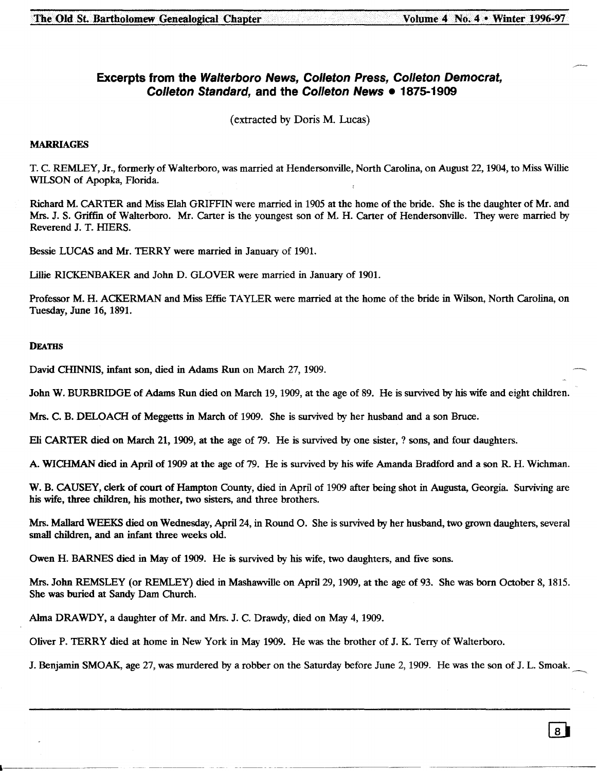# **Excerpts from the Walterboro News, Colleton Press, Colleton Democrat, Colleton Standard, and the Colleton News • 1875-1909**

(extracted by Doris M. Lucas)

# MARRIAGES

T. C. REMLEY, Jr., formerly of Walterboro, was married at Hendersonville, North Carolina, on August 22, 1904, to Miss Willie WILSON of Apopka, Florida.

Richard M. CARTER and Miss Elah GRIFFIN were married in 1905 at the home of the bride. She is the daughter of Mr. and Mrs. J. S. Griffin of Walterboro. Mr. Carter is the youngest son of M. H. Carter of Hendersonville. They were married by Reverend J. T. HIERS.

Bessie LUCAS and Mr. TERRY were married in January of 1901.

Lillie RICKENBAKER and John D. GLOVER were married in January of 1901.

Professor M. H. ACKERMAN and Miss Effie TAYLER were married at the home of the bride in Wilson, North Carolina, on Tuesday, June 16, 1891.

# **DEATHS**

David CHINNIS, infant son, died in Adams Run on March 27, 1909.

John W. BURBRIDGE of Adams Run died on March 19, 1909, at the age of 89. He is survived by his wife and eight children.

Mrs. C. B. DELOACH of Meggetts in March of 1909. She is survived by her husband and a son Bruce.

Eli CARTER died on March 21,1909, at the age of 79. He is survived by one sister, ? sons, and four daughters.

A. WICHMAN died in April of 1909 at the age of 79. He is survived by his wife Amanda Bradford and a son R. H. Wichman.

W. B. CAUSEY, clerk of court of Hampton County, died in April of 1909 after being shot in Augusta, Georgia. Surviving are his wife, three children, his mother, two sisters, and three brothers.

Mrs. Mallard WEEKS died on Wednesday, April 24, in Round O. She is survived by her husband, two grown daughters, several small children, and an infant three weeks old.

Owen H. BARNES died in May of 1909. He is survived by his wife, two daughters, and five sons.

Mrs. John REMSLEY (or REMLEY) died in Mashawville on April 29, 1909, at the age of 93. She was born October 8,1815. She was buried at Sandy Dam Church.

Alma DRAWDY, a daughter of Mr. and Mrs. J. C. Drawdy, died on May 4,1909.

Oliver P. TERRY died at home in New York in May 1909. He was the brother of J. K. Terry of Walterboro.

J. Benjamin SMOAK, age 27, was murdered by a robber on the Saturday before June 2, 1909. He was the son of J. L. Smoak.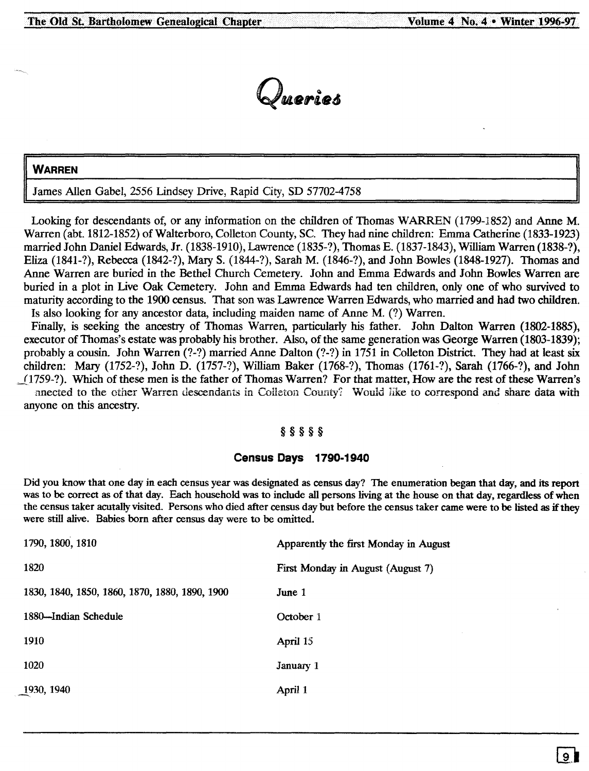

# **WARREN**

James Allen Gabel, 2556 Lindsey Drive, Rapid City, SD 57702-4758

Looking for descendants of, or any information on the children of Thomas WARREN (1799-1852) and Anne M. Warren (abt.1812-1852) of Walterboro, Colleton County, Sc. They had nine children: Emma Catherine (1833-1923) married John Daniel Edwards, Jr. (1838-1910), Lawrence (1835-?), Thomas E. (1837-1843), William Warren (1838-?), Eliza (1841-?), Rebecca (1842-?), Mary S. (1844-?), Sarah M. (1846-?), and John Bowles (1848-1927). Thomas and Anne Warren are buried in the Bethel Church Cemetery. John and Emma Edwards and John Bowles Warren are buried in a plot in Live Oak Cemetery. John and Emma Edwards had ten children, only one of who survived to maturity according to the 1900 census. That son was Lawrence Warren Edwards, who married and had two children. Is also looking for any ancestor data, including maiden name of Anne M. (?) Warren.

Finally, is seeking the ancestry of Thomas Warren, particularly his father. John Dalton Warren (1802-1885), executor of Thomas's estate was probably his brother. Also, of the same generation was George Warren (1803-1839); probably a cousin. John Warren (?-?) married Anne Dalton (?-?) in 1751 in Colleton District. They had at least six children: Mary (1752-?), John D. (1757-?), William Baker (1768-?), Thomas (1761-?), Sarah (1766-?), and John \_[l759- ?). Which of these men is the father of Thomas Warren? For that matter, How are the rest of these Warren's

nnected to the ether Warren descendants in Colleton County? Would like to correspond and share data with anyone on this ancestry.

# §§§§§

# **Census Days 1790-1940**

Did you know that one day in each census year was designated as census day? The enumeration began that day, and its report was to be correct as of that day. Each household was to include all persons living at the house on that day, regardless of when the census taker acutally visited. Persons who died after census day but before the census taker came were to be listed as if they were still alive. Babies born after census day were to be omitted.

| 1790, 1800, 1810                               | Apparently the first Monday in August |
|------------------------------------------------|---------------------------------------|
| 1820                                           | First Monday in August (August 7)     |
| 1830, 1840, 1850, 1860, 1870, 1880, 1890, 1900 | June 1                                |
| 1880-Indian Schedule                           | October 1                             |
| 1910                                           | April 15                              |
| 1020                                           | January 1                             |
| 1930, 1940                                     | April 1                               |